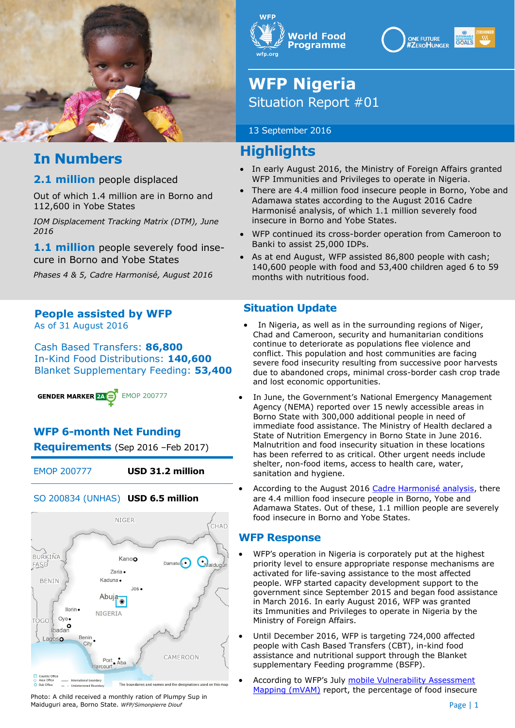

# **In Numbers**

#### **2.1 million** people displaced

Out of which 1.4 million are in Borno and 112,600 in Yobe States

*IOM Displacement Tracking Matrix (DTM), June 2016*

1.1 million people severely food insecure in Borno and Yobe States

*Phases 4 & 5, Cadre Harmonisé, August 2016*

#### **People assisted by WFP** As of 31 August 2016

Cash Based Transfers: **86,800** In-Kind Food Distributions: **140,600** Blanket Supplementary Feeding: **53,400**

**GENDER MARKER 24 C** EMOP 200777

## **WFP 6-month Net Funding**

**Requirements** (Sep 2016 –Feb 2017)

EMOP 200777 **USD 31.2 million**

#### SO 200834 (UNHAS) **USD 6.5 million**



Photo: A child received a monthly ration of Plumpy Sup in Maiduguri area, Borno State. *WFP/Simonpierre Diouf*





# **WFP Nigeria** Situation Report #01

#### 13 September 2016

# **Highlights**

- In early August 2016, the Ministry of Foreign Affairs granted WFP Immunities and Privileges to operate in Nigeria.
- There are 4.4 million food insecure people in Borno, Yobe and Adamawa states according to the August 2016 Cadre Harmonisé analysis, of which 1.1 million severely food insecure in Borno and Yobe States.
- WFP continued its cross-border operation from Cameroon to Banki to assist 25,000 IDPs.
- As at end August, WFP assisted 86,800 people with cash; 140,600 people with food and 53,400 children aged 6 to 59 months with nutritious food.

### **Situation Update**

- In Nigeria, as well as in the surrounding regions of Niger, Chad and Cameroon, security and humanitarian conditions continue to deteriorate as populations flee violence and conflict. This population and host communities are facing severe food insecurity resulting from successive poor harvests due to abandoned crops, minimal cross-border cash crop trade and lost economic opportunities.
- In June, the Government's National Emergency Management Agency (NEMA) reported over 15 newly accessible areas in Borno State with 300,000 additional people in need of immediate food assistance. The Ministry of Health declared a State of Nutrition Emergency in Borno State in June 2016. Malnutrition and food insecurity situation in these locations has been referred to as critical. Other urgent needs include shelter, non-food items, access to health care, water, sanitation and hygiene.
- According to the August 2016 [Cadre Harmonisé analysis,](https://www.humanitarianresponse.info/en/system/files/documents/files/fiche-nigeria_aout2016_ver3_asg.pdf) there are 4.4 million food insecure people in Borno, Yobe and Adamawa States. Out of these, 1.1 million people are severely food insecure in Borno and Yobe States.

### **WFP Response**

- WFP's operation in Nigeria is corporately put at the highest priority level to ensure appropriate response mechanisms are activated for life-saving assistance to the most affected people. WFP started capacity development support to the government since September 2015 and began food assistance in March 2016. In early August 2016, WFP was granted its Immunities and Privileges to operate in Nigeria by the Ministry of Foreign Affairs.
- Until December 2016, WFP is targeting 724,000 affected people with Cash Based Transfers (CBT), in-kind food assistance and nutritional support through the Blanket supplementary Feeding programme (BSFP).
- According to WFP's July mobile Vulnerability Assessment [Mapping \(mVAM\)](https://public.tableau.com/profile/wfp.vam#!/vizhome/PROVAmvam600NGA_SC/WFPmvamNigeriaJune-July2016) report, the percentage of food insecure